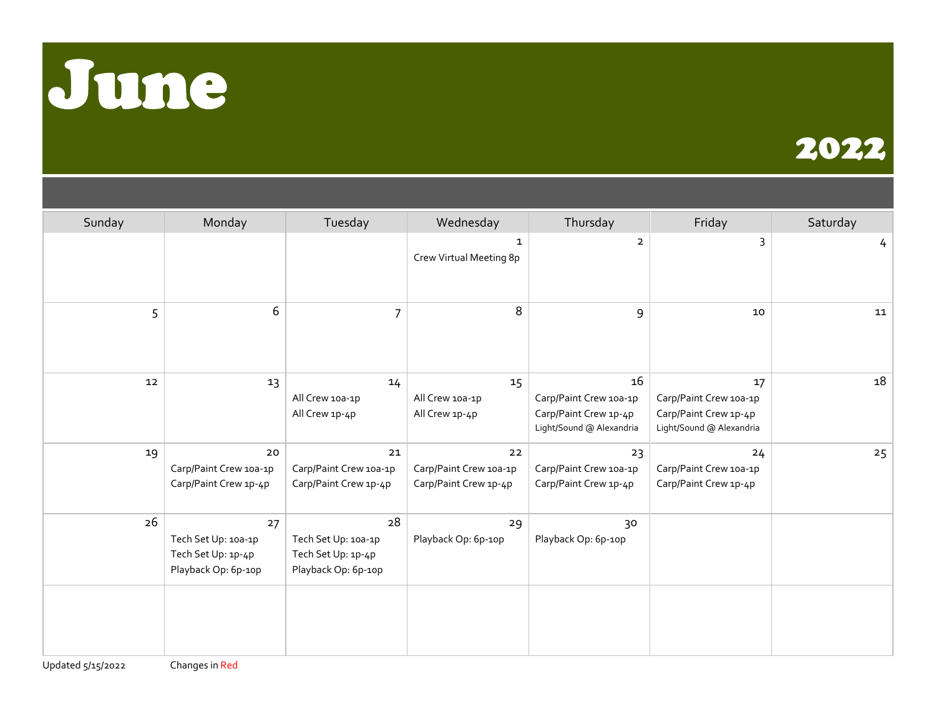



| Sunday | Monday                                                                 | Tuesday                                                                | Wednesday                                             | Thursday                                                                          | Friday                                                                            | Saturday |
|--------|------------------------------------------------------------------------|------------------------------------------------------------------------|-------------------------------------------------------|-----------------------------------------------------------------------------------|-----------------------------------------------------------------------------------|----------|
|        |                                                                        |                                                                        | $\mathbf{1}$<br>Crew Virtual Meeting 8p               | $\overline{2}$                                                                    | 3                                                                                 | 4        |
| 5      | 6                                                                      | $\overline{7}$                                                         | 8                                                     | 9                                                                                 | 10                                                                                | 11       |
| $12\,$ | 13                                                                     | 14<br>All Crew 10a-1p<br>All Crew 1p-4p                                | 15<br>All Crew 10a-1p<br>All Crew 1p-4p               | 16<br>Carp/Paint Crew 10a-1p<br>Carp/Paint Crew 1p-4p<br>Light/Sound @ Alexandria | 17<br>Carp/Paint Crew 10a-1p<br>Carp/Paint Crew 1p-4p<br>Light/Sound @ Alexandria | 18       |
| 19     | 20<br>Carp/Paint Crew 10a-1p<br>Carp/Paint Crew 1p-4p                  | 21<br>Carp/Paint Crew 10a-1p<br>Carp/Paint Crew 1p-4p                  | 22<br>Carp/Paint Crew 10a-1p<br>Carp/Paint Crew 1p-4p | 23<br>Carp/Paint Crew 10a-1p<br>Carp/Paint Crew 1p-4p                             | 24<br>Carp/Paint Crew 10a-1p<br>Carp/Paint Crew 1p-4p                             | 25       |
| 26     | 27<br>Tech Set Up: 10a-1p<br>Tech Set Up: 1p-4p<br>Playback Op: 6p-10p | 28<br>Tech Set Up: 10a-1p<br>Tech Set Up: 1p-4p<br>Playback Op: 6p-10p | 29<br>Playback Op: 6p-10p                             | 30<br>Playback Op: 6p-10p                                                         |                                                                                   |          |
|        |                                                                        |                                                                        |                                                       |                                                                                   |                                                                                   |          |